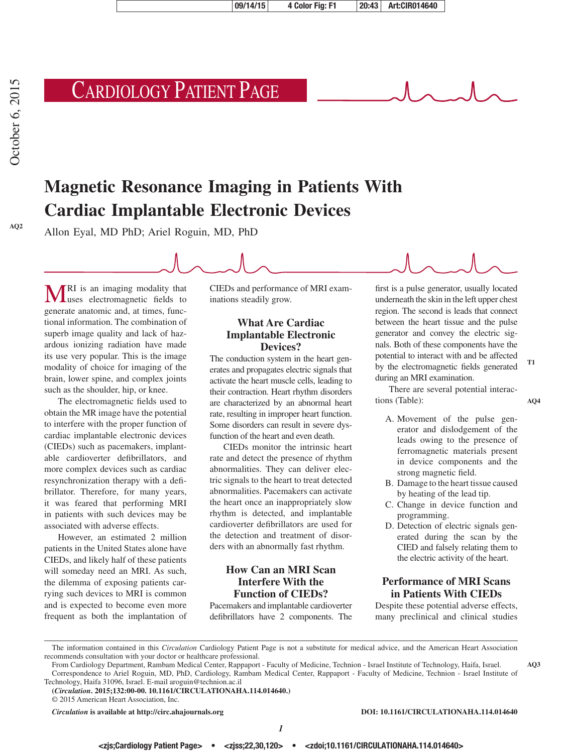# Cardiology Patient Page

## **Magnetic Resonance Imaging in Patients With Cardiac Implantable Electronic Devices**

Allon Eyal, MD PhD; Ariel Roguin, MD, PhD

**MRI** is an imaging modality that uses electromagnetic fields to generate anatomic and, at times, functional information. The combination of superb image quality and lack of hazardous ionizing radiation have made its use very popular. This is the image modality of choice for imaging of the brain, lower spine, and complex joints such as the shoulder, hip, or knee.

The electromagnetic fields used to obtain the MR image have the potential to interfere with the proper function of cardiac implantable electronic devices (CIEDs) such as pacemakers, implantable cardioverter defibrillators, and more complex devices such as cardiac resynchronization therapy with a defibrillator. Therefore, for many years, it was feared that performing MRI in patients with such devices may be associated with adverse effects.

However, an estimated 2 million patients in the United States alone have CIEDs, and likely half of these patients will someday need an MRI. As such, the dilemma of exposing patients carrying such devices to MRI is common and is expected to become even more frequent as both the implantation of CIEDs and performance of MRI examinations steadily grow.

#### **What Are Cardiac Implantable Electronic Devices?**

The conduction system in the heart generates and propagates electric signals that activate the heart muscle cells, leading to their contraction. Heart rhythm disorders are characterized by an abnormal heart rate, resulting in improper heart function. Some disorders can result in severe dysfunction of the heart and even death.

CIEDs monitor the intrinsic heart rate and detect the presence of rhythm abnormalities. They can deliver electric signals to the heart to treat detected abnormalities. Pacemakers can activate the heart once an inappropriately slow rhythm is detected, and implantable cardioverter defibrillators are used for the detection and treatment of disorders with an abnormally fast rhythm.

#### **How Can an MRI Scan Interfere With the Function of CIEDs?**

Pacemakers and implantable cardioverter defibrillators have 2 components. The first is a pulse generator, usually located underneath the skin in the left upper chest region. The second is leads that connect between the heart tissue and the pulse generator and convey the electric signals. Both of these components have the potential to interact with and be affected by the electromagnetic fields generated during an MRI examination.

There are several potential interactions (Table):

**AQ4**

**AQ3**

**T1**

- A. Movement of the pulse generator and dislodgement of the leads owing to the presence of ferromagnetic materials present in device components and the strong magnetic field.
- B. Damage to the heart tissue caused by heating of the lead tip.
- C. Change in device function and programming.
- D. Detection of electric signals generated during the scan by the CIED and falsely relating them to the electric activity of the heart.

#### **Performance of MRI Scans in Patients With CIEDs**

Despite these potential adverse effects, many preclinical and clinical studies

The information contained in this *Circulation* Cardiology Patient Page is not a substitute for medical advice, and the American Heart Association recommends consultation with your doctor or healthcare professional.

From Cardiology Department, Rambam Medical Center, Rappaport - Faculty of Medicine, Technion - Israel Institute of Technology, Haifa, Israel. Correspondence to Ariel Roguin, MD, PhD, Cardiology, Rambam Medical Center, Rappaport - Faculty of Medicine, Technion - Israel Institute of Technology, Haifa 31096, Israel. E-mail [aroguin@technion.ac.il](mailto:aroguin@technion.ac.il)

**(***Circulation***. 2015;132:00-00. 10.1161/CIRCULATIONAHA.114.014640.)**

*Circulation* **is available at http://circ.ahajournals.org DOI: 10.1161/CIRCULATIONAHA.114.014640**

<sup>© 2015</sup> American Heart Association, Inc.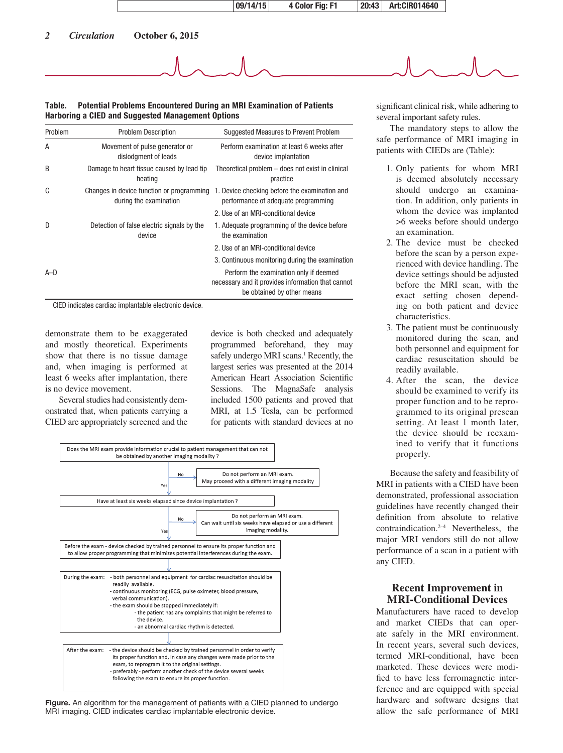

#### **Table. Potential Problems Encountered During an MRI Examination of Patients Harboring a CIED and Suggested Management Options**

| Problem | <b>Problem Description</b>                                          | Suggested Measures to Prevent Problem                                                                                     |
|---------|---------------------------------------------------------------------|---------------------------------------------------------------------------------------------------------------------------|
| A       | Movement of pulse generator or<br>dislodgment of leads              | Perform examination at least 6 weeks after<br>device implantation                                                         |
| B       | Damage to heart tissue caused by lead tip<br>heating                | Theoretical problem – does not exist in clinical<br>practice                                                              |
| C       | Changes in device function or programming<br>during the examination | 1. Device checking before the examination and<br>performance of adequate programming                                      |
|         |                                                                     | 2. Use of an MRI-conditional device                                                                                       |
| D       | Detection of false electric signals by the<br>device                | 1. Adequate programming of the device before<br>the examination                                                           |
|         |                                                                     | 2. Use of an MRI-conditional device                                                                                       |
|         |                                                                     | 3. Continuous monitoring during the examination                                                                           |
| $A-D$   |                                                                     | Perform the examination only if deemed<br>necessary and it provides information that cannot<br>be obtained by other means |

CIED indicates cardiac implantable electronic device.

demonstrate them to be exaggerated and mostly theoretical. Experiments show that there is no tissue damage and, when imaging is performed at least 6 weeks after implantation, there is no device movement.

Several studies had consistently demonstrated that, when patients carrying a CIED are appropriately screened and the device is both checked and adequately programmed beforehand, they may safely undergo MRI scans.<sup>1</sup> Recently, the largest series was presented at the 2014 American Heart Association Scientific Sessions. The MagnaSafe analysis included 1500 patients and proved that MRI, at 1.5 Tesla, can be performed for patients with standard devices at no



**Figure.** An algorithm for the management of patients with a CIED planned to undergo MRI imaging. CIED indicates cardiac implantable electronic device.

significant clinical risk, while adhering to several important safety rules.

The mandatory steps to allow the safe performance of MRI imaging in patients with CIEDs are (Table):

- 1. Only patients for whom MRI is deemed absolutely necessary should undergo an examination. In addition, only patients in whom the device was implanted >6 weeks before should undergo an examination.
- 2. The device must be checked before the scan by a person experienced with device handling. The device settings should be adjusted before the MRI scan, with the exact setting chosen depending on both patient and device characteristics.
- 3. The patient must be continuously monitored during the scan, and both personnel and equipment for cardiac resuscitation should be readily available.
- 4. After the scan, the device should be examined to verify its proper function and to be reprogrammed to its original prescan setting. At least 1 month later, the device should be reexamined to verify that it functions properly.

Because the safety and feasibility of MRI in patients with a CIED have been demonstrated, professional association guidelines have recently changed their definition from absolute to relative contraindication.2–4 Nevertheless, the major MRI vendors still do not allow performance of a scan in a patient with any CIED.

#### **Recent Improvement in MRI-Conditional Devices**

Manufacturers have raced to develop and market CIEDs that can operate safely in the MRI environment. In recent years, several such devices, termed MRI-conditional, have been marketed. These devices were modified to have less ferromagnetic interference and are equipped with special hardware and software designs that allow the safe performance of MRI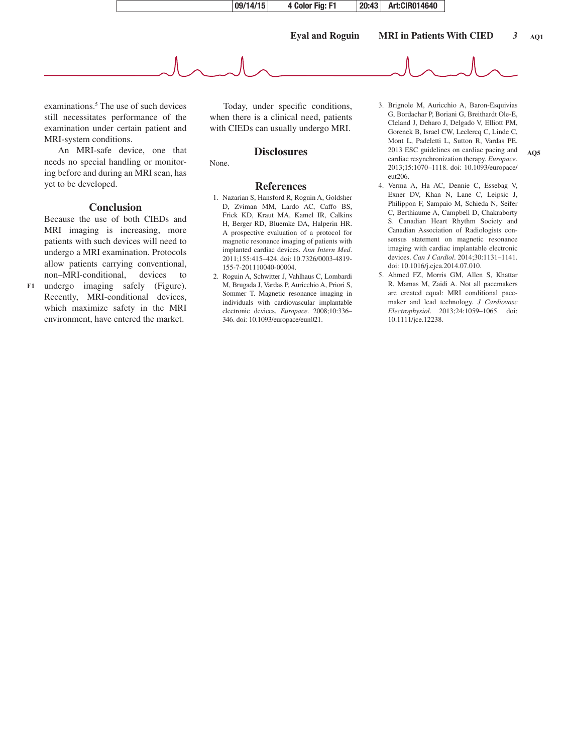

examinations.<sup>5</sup> The use of such devices still necessitates performance of the examination under certain patient and MRI-system conditions.

An MRI-safe device, one that needs no special handling or monitoring before and during an MRI scan, has yet to be developed.

#### **Conclusion**

Because the use of both CIEDs and MRI imaging is increasing, more patients with such devices will need to undergo a MRI examination. Protocols allow patients carrying conventional, non–MRI-conditional, devices to

undergo imaging safely (Figure). Recently, MRI-conditional devices, which maximize safety in the MRI environment, have entered the market. **F1**

Today, under specific conditions, when there is a clinical need, patients with CIEDs can usually undergo MRI.

#### **Disclosures**

None.

#### **References**

- 1. Nazarian S, Hansford R, Roguin A, Goldsher D, Zviman MM, Lardo AC, Caffo BS, Frick KD, Kraut MA, Kamel IR, Calkins H, Berger RD, Bluemke DA, Halperin HR. A prospective evaluation of a protocol for magnetic resonance imaging of patients with implanted cardiac devices. *Ann Intern Med*. 2011;155:415–424. doi: 10.7326/0003-4819- 155-7-201110040-00004.
- 2. Roguin A, Schwitter J, Vahlhaus C, Lombardi M, Brugada J, Vardas P, Auricchio A, Priori S, Sommer T. Magnetic resonance imaging in individuals with cardiovascular implantable electronic devices. *Europace*. 2008;10:336– 346. doi: 10.1093/europace/eun021.

3. Brignole M, Auricchio A, Baron-Esquivias G, Bordachar P, Boriani G, Breithardt Ole-E, Cleland J, Deharo J, Delgado V, Elliott PM, Gorenek B, Israel CW, Leclercq C, Linde C, Mont L, Padeletti L, Sutton R, Vardas PE. 2013 ESC guidelines on cardiac pacing and cardiac resynchronization therapy. *Europace*. 2013;15:1070–1118. doi: 10.1093/europace/ eut206.

**AQ5**

- 4. Verma A, Ha AC, Dennie C, Essebag V, Exner DV, Khan N, Lane C, Leipsic J, Philippon F, Sampaio M, Schieda N, Seifer C, Berthiaume A, Campbell D, Chakraborty S. Canadian Heart Rhythm Society and Canadian Association of Radiologists consensus statement on magnetic resonance imaging with cardiac implantable electronic devices. *Can J Cardiol*. 2014;30:1131–1141. doi: 10.1016/j.cjca.2014.07.010.
- 5. Ahmed FZ, Morris GM, Allen S, Khattar R, Mamas M, Zaidi A. Not all pacemakers are created equal: MRI conditional pacemaker and lead technology. *J Cardiovasc Electrophysiol*. 2013;24:1059–1065. doi: 10.1111/jce.12238.